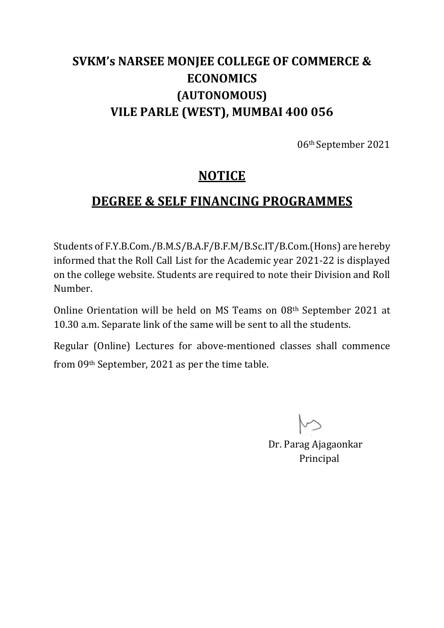# **SVKM's NARSEE MONJEE COLLEGE OF COMMERCE & ECONOMICS (AUTONOMOUS) VILE PARLE (WEST), MUMBAI 400 056**

06th September 2021

### **NOTICE**

# **DEGREE & SELF FINANCING PROGRAMMES**

Students of F.Y.B.Com./B.M.S/B.A.F/B.F.M/B.Sc.IT/B.Com.(Hons) are hereby informed that the Roll Call List for the Academic year 2021-22 is displayed on the college website. Students are required to note their Division and Roll Number.

Online Orientation will be held on MS Teams on 08th September 2021 at 10.30 a.m. Separate link of the same will be sent to all the students.

Regular (Online) Lectures for above-mentioned classes shall commence from 09th September, 2021 as per the time table.

Dr. Parag Ajagaonkar Principal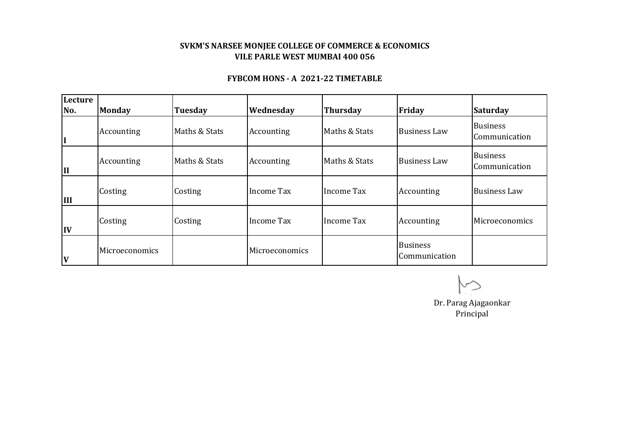### **SVKM'S NARSEE MONJEE COLLEGE OF COMMERCE & ECONOMICS VILE PARLE WEST MUMBAI 400 056**

#### **FYBCOM HONS - A 2021-22 TIMETABLE**

| Lecture<br>No. | <b>Monday</b>  | <b>Tuesday</b> | Wednesday         | <b>Thursday</b>   | Friday                           | <b>Saturday</b>                  |
|----------------|----------------|----------------|-------------------|-------------------|----------------------------------|----------------------------------|
| I              | Accounting     | Maths & Stats  | Accounting        | Maths & Stats     | <b>Business Law</b>              | <b>Business</b><br>Communication |
| II             | Accounting     | Maths & Stats  | Accounting        | Maths & Stats     | <b>Business Law</b>              | <b>Business</b><br>Communication |
| <b>III</b>     | Costing        | Costing        | <b>Income Tax</b> | <b>Income Tax</b> | Accounting                       | <b>Business Law</b>              |
| IV             | Costing        | Costing        | Income Tax        | Income Tax        | Accounting                       | Microeconomics                   |
| V              | Microeconomics |                | Microeconomics    |                   | <b>Business</b><br>Communication |                                  |

 $\rightsquigarrow$ 

Dr. Parag Ajagaonkar Principal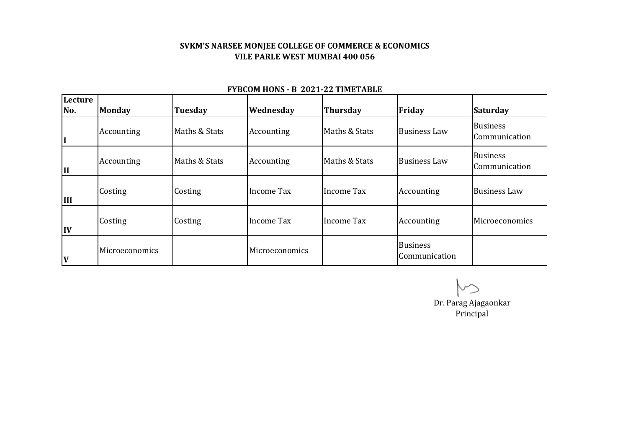### **SVKM'S NARSEE MONJEE COLLEGE OF COMMERCE & ECONOMICS VILE PARLE WEST MUMBAI 400 056**

| Lecture<br>No. | <b>Monday</b>  | <b>Tuesday</b> | Wednesday      | <b>Thursday</b> | Friday                           | <b>Saturday</b>                  |
|----------------|----------------|----------------|----------------|-----------------|----------------------------------|----------------------------------|
| II             | Accounting     | Maths & Stats  | Accounting     | Maths & Stats   | <b>Business Law</b>              | <b>Business</b><br>Communication |
| II             | Accounting     | Maths & Stats  | Accounting     | Maths & Stats   | <b>Business Law</b>              | <b>Business</b><br>Communication |
| IШ             | Costing        | Costing        | Income Tax     | Income Tax      | Accounting                       | <b>Business Law</b>              |
| IV             | Costing        | Costing        | Income Tax     | Income Tax      | Accounting                       | Microeconomics                   |
| <b>V</b>       | Microeconomics |                | Microeconomics |                 | <b>Business</b><br>Communication |                                  |

#### **FYBCOM HONS - B 2021-22 TIMETABLE**

Dr. Parag Ajagaonkar Principal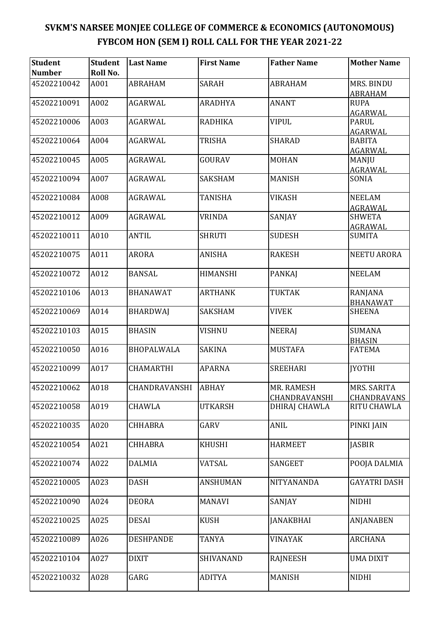| <b>Student</b><br><b>Number</b> | Student<br>Roll No. | <b>Last Name</b>  | <b>First Name</b> | <b>Father Name</b>             | <b>Mother Name</b>               |
|---------------------------------|---------------------|-------------------|-------------------|--------------------------------|----------------------------------|
| 45202210042                     | A001                | <b>ABRAHAM</b>    | <b>SARAH</b>      | <b>ABRAHAM</b>                 | MRS. BINDU<br><b>ABRAHAM</b>     |
| 45202210091                     | A002                | <b>AGARWAL</b>    | <b>ARADHYA</b>    | <b>ANANT</b>                   | <b>RUPA</b><br>AGARWAL           |
| 45202210006                     | A003                | AGARWAL           | <b>RADHIKA</b>    | <b>VIPUL</b>                   | <b>PARUL</b><br>AGARWAL          |
| 45202210064                     | A004                | <b>AGARWAL</b>    | <b>TRISHA</b>     | <b>SHARAD</b>                  | <b>BABITA</b><br><b>AGARWAL</b>  |
| 45202210045                     | A005                | AGRAWAL           | GOURAV            | <b>MOHAN</b>                   | MANJU<br><b>AGRAWAL</b>          |
| 45202210094                     | A007                | AGRAWAL           | SAKSHAM           | <b>MANISH</b>                  | SONIA                            |
| 45202210084                     | A008                | AGRAWAL           | <b>TANISHA</b>    | <b>VIKASH</b>                  | <b>NEELAM</b><br>AGRAWAL         |
| 45202210012                     | A009                | <b>AGRAWAL</b>    | <b>VRINDA</b>     | SANJAY                         | <b>SHWETA</b><br><b>AGRAWAL</b>  |
| 45202210011                     | A010                | <b>ANTIL</b>      | <b>SHRUTI</b>     | <b>SUDESH</b>                  | <b>SUMITA</b>                    |
| 45202210075                     | A011                | <b>ARORA</b>      | <b>ANISHA</b>     | <b>RAKESH</b>                  | <b>NEETU ARORA</b>               |
| 45202210072                     | A012                | <b>BANSAL</b>     | <b>HIMANSHI</b>   | <b>PANKAJ</b>                  | <b>NEELAM</b>                    |
| 45202210106                     | A013                | <b>BHANAWAT</b>   | <b>ARTHANK</b>    | <b>TUKTAK</b>                  | RANJANA                          |
| 45202210069                     | A014                | <b>BHARDWAJ</b>   | <b>SAKSHAM</b>    | <b>VIVEK</b>                   | <b>BHANAWAT</b><br><b>SHEENA</b> |
| 45202210103                     | A015                | <b>BHASIN</b>     | <b>VISHNU</b>     | <b>NEERAJ</b>                  | <b>SUMANA</b><br><b>BHASIN</b>   |
| 45202210050                     | A016                | <b>BHOPALWALA</b> | <b>SAKINA</b>     | <b>MUSTAFA</b>                 | <b>FATEMA</b>                    |
| 45202210099                     | A017                | <b>CHAMARTHI</b>  | <b>APARNA</b>     | <b>SREEHARI</b>                | <b>JYOTHI</b>                    |
| 45202210062                     | A018                | CHANDRAVANSHI     | ABHAY             | MR. RAMESH                     | MRS. SARITA                      |
| 45202210058                     | A019                | CHAWLA            | <b>UTKARSH</b>    | CHANDRAVANSHI<br>DHIRAJ CHAWLA | CHANDRAVANS<br>RITU CHAWLA       |
| 45202210035                     | A020                | <b>CHHABRA</b>    | GARV              | <b>ANIL</b>                    | PINKI JAIN                       |
| 45202210054                     | A021                | <b>CHHABRA</b>    | <b>KHUSHI</b>     | <b>HARMEET</b>                 | <b>JASBIR</b>                    |
| 45202210074                     | A022                | <b>DALMIA</b>     | <b>VATSAL</b>     | SANGEET                        | POOJA DALMIA                     |
| 45202210005                     | A023                | DASH              | ANSHUMAN          | NITYANANDA                     | <b>GAYATRI DASH</b>              |
| 45202210090                     | A024                | <b>DEORA</b>      | <b>MANAVI</b>     | SANJAY                         | <b>NIDHI</b>                     |
| 45202210025                     | A025                | <b>DESAI</b>      | <b>KUSH</b>       | <b>JANAKBHAI</b>               | ANJANABEN                        |
| 45202210089                     | A026                | <b>DESHPANDE</b>  | <b>TANYA</b>      | <b>VINAYAK</b>                 | <b>ARCHANA</b>                   |
| 45202210104                     | A027                | <b>DIXIT</b>      | SHIVANAND         | <b>RAJNEESH</b>                | <b>UMA DIXIT</b>                 |
| 45202210032                     | A028                | GARG              | <b>ADITYA</b>     | <b>MANISH</b>                  | <b>NIDHI</b>                     |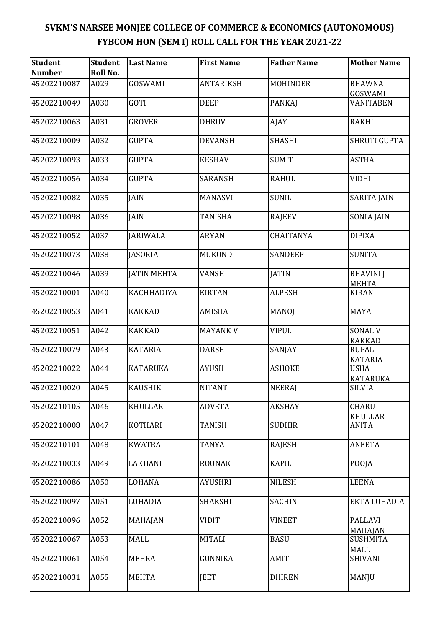| <b>Student</b><br><b>Number</b> | <b>Student</b><br>Roll No. | <b>Last Name</b>   | <b>First Name</b> | <b>Father Name</b> | <b>Mother Name</b>               |
|---------------------------------|----------------------------|--------------------|-------------------|--------------------|----------------------------------|
| 45202210087                     | A029                       | GOSWAMI            | <b>ANTARIKSH</b>  | <b>MOHINDER</b>    | <b>BHAWNA</b><br>GOSWAMI         |
| 45202210049                     | A030                       | GOTI               | <b>DEEP</b>       | <b>PANKAJ</b>      | VANITABEN                        |
| 45202210063                     | A031                       | <b>GROVER</b>      | <b>DHRUV</b>      | AJAY               | <b>RAKHI</b>                     |
| 45202210009                     | A032                       | <b>GUPTA</b>       | <b>DEVANSH</b>    | <b>SHASHI</b>      | <b>SHRUTI GUPTA</b>              |
| 45202210093                     | A033                       | <b>GUPTA</b>       | <b>KESHAV</b>     | <b>SUMIT</b>       | <b>ASTHA</b>                     |
| 45202210056                     | A034                       | <b>GUPTA</b>       | <b>SARANSH</b>    | <b>RAHUL</b>       | <b>VIDHI</b>                     |
| 45202210082                     | A035                       | <b>JAIN</b>        | <b>MANASVI</b>    | <b>SUNIL</b>       | <b>SARITA JAIN</b>               |
| 45202210098                     | A036                       | <b>JAIN</b>        | <b>TANISHA</b>    | RAJEEV             | <b>SONIA JAIN</b>                |
| 45202210052                     | A037                       | <b>JARIWALA</b>    | <b>ARYAN</b>      | <b>CHAITANYA</b>   | <b>DIPIXA</b>                    |
| 45202210073                     | A038                       | <b>JASORIA</b>     | <b>MUKUND</b>     | <b>SANDEEP</b>     | <b>SUNITA</b>                    |
| 45202210046                     | A039                       | <b>JATIN MEHTA</b> | <b>VANSH</b>      | <b>JATIN</b>       | <b>BHAVINI</b> J<br><b>MEHTA</b> |
| 45202210001                     | A040                       | KACHHADIYA         | <b>KIRTAN</b>     | <b>ALPESH</b>      | <b>KIRAN</b>                     |
| 45202210053                     | A041                       | <b>KAKKAD</b>      | AMISHA            | <b>MANOJ</b>       | <b>MAYA</b>                      |
| 45202210051                     | A042                       | <b>KAKKAD</b>      | <b>MAYANK V</b>   | <b>VIPUL</b>       | <b>SONAL V</b><br><b>KAKKAD</b>  |
| 45202210079                     | A043                       | <b>KATARIA</b>     | <b>DARSH</b>      | SANJAY             | <b>RUPAL</b><br><b>KATARIA</b>   |
| 45202210022                     | A044                       | <b>KATARUKA</b>    | <b>AYUSH</b>      | <b>ASHOKE</b>      | <b>USHA</b><br><b>KATARUKA</b>   |
| 45202210020                     | A045                       | <b>KAUSHIK</b>     | <b>NITANT</b>     | <b>NEERAJ</b>      | <b>SILVIA</b>                    |
| 45202210105                     | A046                       | <b>KHULLAR</b>     | <b>ADVETA</b>     | <b>AKSHAY</b>      | <b>CHARU</b><br><b>KHULLAR</b>   |
| 45202210008                     | A047                       | <b>KOTHARI</b>     | <b>TANISH</b>     | <b>SUDHIR</b>      | <b>ANITA</b>                     |
| 45202210101                     | A048                       | <b>KWATRA</b>      | <b>TANYA</b>      | RAJESH             | <b>ANEETA</b>                    |
| 45202210033                     | A049                       | LAKHANI            | <b>ROUNAK</b>     | <b>KAPIL</b>       | POOJA                            |
| 45202210086                     | A050                       | LOHANA             | <b>AYUSHRI</b>    | <b>NILESH</b>      | <b>LEENA</b>                     |
| 45202210097                     | A051                       | LUHADIA            | <b>SHAKSHI</b>    | <b>SACHIN</b>      | EKTA LUHADIA                     |
| 45202210096                     | A052                       | MAHAJAN            | <b>VIDIT</b>      | <b>VINEET</b>      | <b>PALLAVI</b><br><b>MAHAJAN</b> |
| 45202210067                     | A053                       | <b>MALL</b>        | <b>MITALI</b>     | <b>BASU</b>        | <b>SUSHMITA</b><br><b>MALL</b>   |
| 45202210061                     | A054                       | <b>MEHRA</b>       | <b>GUNNIKA</b>    | AMIT               | <b>SHIVANI</b>                   |
| 45202210031                     | A055                       | <b>MEHTA</b>       | <b>JEET</b>       | <b>DHIREN</b>      | MANJU                            |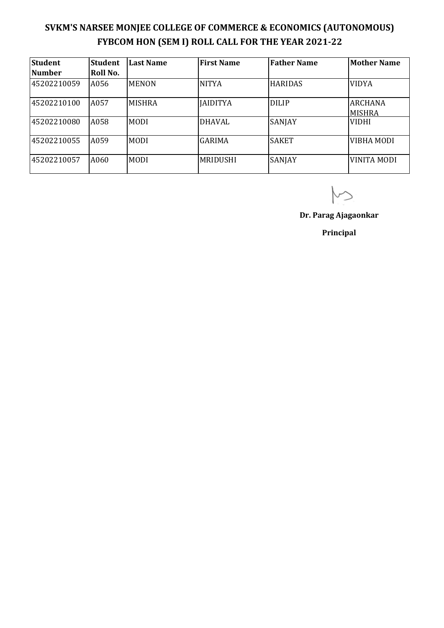| <b>Student</b> | <b>Student</b>  | <b>Last Name</b> | <b>First Name</b> | <b>Father Name</b> | <b>Mother Name</b>              |
|----------------|-----------------|------------------|-------------------|--------------------|---------------------------------|
| <b>Number</b>  | <b>Roll No.</b> |                  |                   |                    |                                 |
| 45202210059    | A056            | <b>MENON</b>     | <b>NITYA</b>      | <b>HARIDAS</b>     | <b>VIDYA</b>                    |
| 45202210100    | A057            | <b>MISHRA</b>    | <b>JAIDITYA</b>   | <b>DILIP</b>       | <b>ARCHANA</b><br><b>MISHRA</b> |
| 45202210080    | A058            | <b>MODI</b>      | <b>DHAVAL</b>     | SANJAY             | <b>VIDHI</b>                    |
| 45202210055    | A059            | <b>MODI</b>      | <b>GARIMA</b>     | <b>SAKET</b>       | VIBHA MODI                      |
| 45202210057    | A060            | <b>MODI</b>      | MRIDUSHI          | SANJAY             | <b>VINITA MODI</b>              |

**Dr. Parag Ajagaonkar**

**Principal**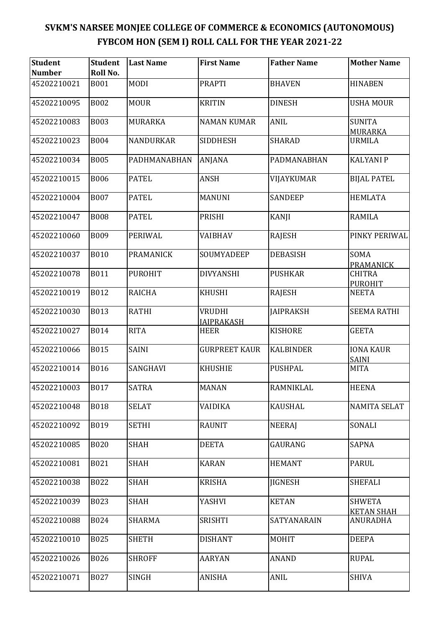| <b>Student</b><br><b>Number</b> | <b>Student</b><br>Roll No. | <b>Last Name</b> | <b>First Name</b>                  | <b>Father Name</b> | <b>Mother Name</b>                   |
|---------------------------------|----------------------------|------------------|------------------------------------|--------------------|--------------------------------------|
| 45202210021                     | <b>B001</b>                | <b>MODI</b>      | <b>PRAPTI</b>                      | <b>BHAVEN</b>      | <b>HINABEN</b>                       |
| 45202210095                     | <b>B002</b>                | <b>MOUR</b>      | <b>KRITIN</b>                      | <b>DINESH</b>      | <b>USHA MOUR</b>                     |
| 45202210083                     | <b>B003</b>                | <b>MURARKA</b>   | <b>NAMAN KUMAR</b>                 | <b>ANIL</b>        | <b>SUNITA</b><br><b>MURARKA</b>      |
| 45202210023                     | <b>B004</b>                | NANDURKAR        | <b>SIDDHESH</b>                    | <b>SHARAD</b>      | <b>URMILA</b>                        |
| 45202210034                     | <b>B005</b>                | PADHMANABHAN     | ANJANA                             | PADMANABHAN        | <b>KALYANI P</b>                     |
| 45202210015                     | <b>B006</b>                | <b>PATEL</b>     | <b>ANSH</b>                        | VIJAYKUMAR         | <b>BIJAL PATEL</b>                   |
| 45202210004                     | <b>B007</b>                | <b>PATEL</b>     | <b>MANUNI</b>                      | <b>SANDEEP</b>     | <b>HEMLATA</b>                       |
| 45202210047                     | <b>B008</b>                | <b>PATEL</b>     | <b>PRISHI</b>                      | <b>KANJI</b>       | <b>RAMILA</b>                        |
| 45202210060                     | <b>B009</b>                | PERIWAL          | VAIBHAV                            | <b>RAJESH</b>      | PINKY PERIWAL                        |
| 45202210037                     | <b>B010</b>                | PRAMANICK        | SOUMYADEEP                         | <b>DEBASISH</b>    | SOMA<br>PRAMANICK                    |
| 45202210078                     | <b>B011</b>                | <b>PUROHIT</b>   | <b>DIVYANSHI</b>                   | <b>PUSHKAR</b>     | <b>CHITRA</b><br><b>PUROHIT</b>      |
| 45202210019                     | <b>B012</b>                | <b>RAICHA</b>    | <b>KHUSHI</b>                      | <b>RAJESH</b>      | <b>NEETA</b>                         |
| 45202210030                     | <b>B013</b>                | <b>RATHI</b>     | <b>VRUDHI</b><br><b>JAIPRAKASH</b> | <b>JAIPRAKSH</b>   | <b>SEEMA RATHI</b>                   |
| 45202210027                     | <b>B014</b>                | <b>RITA</b>      | <b>HEER</b>                        | <b>KISHORE</b>     | <b>GEETA</b>                         |
| 45202210066                     | <b>B015</b>                | <b>SAINI</b>     | <b>GURPREET KAUR</b>               | <b>KALBINDER</b>   | <b>IONA KAUR</b><br><b>SAINI</b>     |
| 45202210014                     | <b>B016</b>                | SANGHAVI         | <b>KHUSHIE</b>                     | <b>PUSHPAL</b>     | <b>MITA</b>                          |
| 45202210003                     | <b>B017</b>                | <b>SATRA</b>     | <b>MANAN</b>                       | RAMNIKLAL          | <b>HEENA</b>                         |
| 45202210048                     | <b>B018</b>                | <b>SELAT</b>     | <b>VAIDIKA</b>                     | <b>KAUSHAL</b>     | <b>NAMITA SELAT</b>                  |
| 45202210092                     | <b>B019</b>                | <b>SETHI</b>     | <b>RAUNIT</b>                      | <b>NEERAJ</b>      | SONALI                               |
| 45202210085                     | <b>B020</b>                | <b>SHAH</b>      | <b>DEETA</b>                       | <b>GAURANG</b>     | <b>SAPNA</b>                         |
| 45202210081                     | B021                       | <b>SHAH</b>      | <b>KARAN</b>                       | <b>HEMANT</b>      | <b>PARUL</b>                         |
| 45202210038                     | B022                       | <b>SHAH</b>      | <b>KRISHA</b>                      | <b>JIGNESH</b>     | <b>SHEFALI</b>                       |
| 45202210039                     | <b>B023</b>                | <b>SHAH</b>      | YASHVI                             | <b>KETAN</b>       | <b>SHWETA</b>                        |
| 45202210088                     | <b>B024</b>                | <b>SHARMA</b>    | <b>SRISHTI</b>                     | SATYANARAIN        | <b>KETAN SHAH</b><br><b>ANURADHA</b> |
| 45202210010                     | <b>B025</b>                | <b>SHETH</b>     | <b>DISHANT</b>                     | <b>MOHIT</b>       | <b>DEEPA</b>                         |
| 45202210026                     | <b>B026</b>                | <b>SHROFF</b>    | <b>AARYAN</b>                      | <b>ANAND</b>       | <b>RUPAL</b>                         |
| 45202210071                     | <b>B027</b>                | <b>SINGH</b>     | ANISHA                             | <b>ANIL</b>        | <b>SHIVA</b>                         |